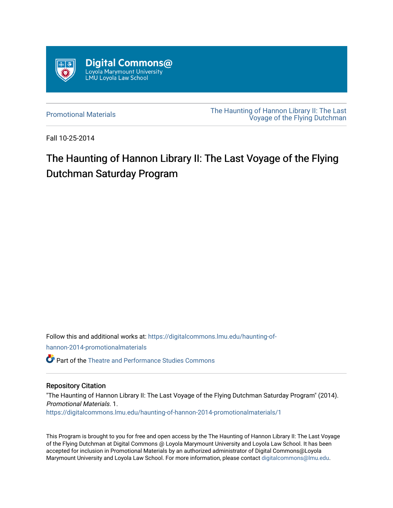

[Promotional Materials](https://digitalcommons.lmu.edu/haunting-of-hannon-2014-promotionalmaterials) [The Haunting of Hannon Library II: The Last](https://digitalcommons.lmu.edu/haunting-of-hannon-2014)  [Voyage of the Flying Dutchman](https://digitalcommons.lmu.edu/haunting-of-hannon-2014) 

Fall 10-25-2014

# The Haunting of Hannon Library II: The Last Voyage of the Flying Dutchman Saturday Program

Follow this and additional works at: [https://digitalcommons.lmu.edu/haunting-of-](https://digitalcommons.lmu.edu/haunting-of-hannon-2014-promotionalmaterials?utm_source=digitalcommons.lmu.edu%2Fhaunting-of-hannon-2014-promotionalmaterials%2F1&utm_medium=PDF&utm_campaign=PDFCoverPages)

[hannon-2014-promotionalmaterials](https://digitalcommons.lmu.edu/haunting-of-hannon-2014-promotionalmaterials?utm_source=digitalcommons.lmu.edu%2Fhaunting-of-hannon-2014-promotionalmaterials%2F1&utm_medium=PDF&utm_campaign=PDFCoverPages) 

Part of the [Theatre and Performance Studies Commons](http://network.bepress.com/hgg/discipline/552?utm_source=digitalcommons.lmu.edu%2Fhaunting-of-hannon-2014-promotionalmaterials%2F1&utm_medium=PDF&utm_campaign=PDFCoverPages) 

#### Repository Citation

"The Haunting of Hannon Library II: The Last Voyage of the Flying Dutchman Saturday Program" (2014). Promotional Materials. 1.

[https://digitalcommons.lmu.edu/haunting-of-hannon-2014-promotionalmaterials/1](https://digitalcommons.lmu.edu/haunting-of-hannon-2014-promotionalmaterials/1?utm_source=digitalcommons.lmu.edu%2Fhaunting-of-hannon-2014-promotionalmaterials%2F1&utm_medium=PDF&utm_campaign=PDFCoverPages) 

This Program is brought to you for free and open access by the The Haunting of Hannon Library II: The Last Voyage of the Flying Dutchman at Digital Commons @ Loyola Marymount University and Loyola Law School. It has been accepted for inclusion in Promotional Materials by an authorized administrator of Digital Commons@Loyola Marymount University and Loyola Law School. For more information, please contact [digitalcommons@lmu.edu](mailto:digitalcommons@lmu.edu).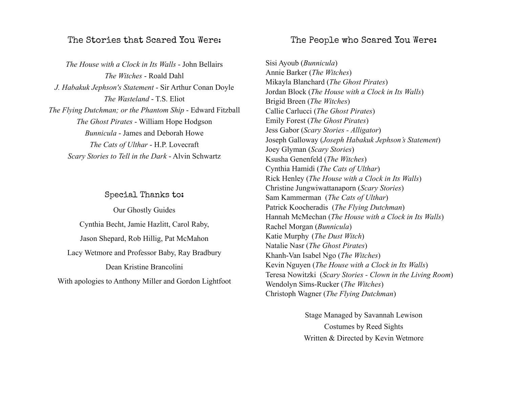## The Stories that Scared You Were:

*The House with a Clock in Its Walls* - John Bellairs *The Witches* - Roald Dahl *J. Habakuk Jephson's Statement* - Sir Arthur Conan Doyle *The Wasteland* - T.S. Eliot *The Flying Dutchman; or the Phantom Ship* - Edward Fitzball *The Ghost Pirates* - William Hope Hodgson *Bunnicula* - James and Deborah Howe *The Cats of Ulthar* - H.P. Lovecraft *Scary Stories to Tell in the Dark* - Alvin Schwartz

#### Special Thanks to:

Our Ghostly Guides Cynthia Becht, Jamie Hazlitt, Carol Raby, Jason Shepard, Rob Hillig, Pat McMahon Lacy Wetmore and Professor Baby, Ray Bradbury Dean Kristine Brancolini With apologies to Anthony Miller and Gordon Lightfoot

### The People who Scared You Were:

Sisi Ayoub (*Bunnicula*) Annie Barker (*The Witches*) Mikayla Blanchard (*The Ghost Pirates*) Jordan Block (*The House with a Clock in Its Walls*) Brigid Breen (*The Witches*) Callie Carlucci (*The Ghost Pirates*) Emily Forest (*The Ghost Pirates*) Jess Gabor (*Scary Stories - Alligator*) Joseph Galloway (*Joseph Habakuk Jephson's Statement*) Joey Glyman (*Scary Stories*) Ksusha Genenfeld (*The Witches*) Cynthia Hamidi (*The Cats of Ulthar*) Rick Henley (*The House with a Clock in Its Walls*) Christine Jungwiwattanaporn (*Scary Stories*) Sam Kammerman (*The Cats of Ulthar*) Patrick Koocheradis (*The Flying Dutchman*) Hannah McMechan (*The House with a Clock in Its Walls*) Rachel Morgan (*Bunnicula*) Katie Murphy (*The Dust Witch*) Natalie Nasr (*The Ghost Pirates*) Khanh-Van Isabel Ngo (*The Witches*) Kevin Nguyen (*The House with a Clock in Its Walls*) Teresa Nowitzki (*Scary Stories - Clown in the Living Room*) Wendolyn Sims-Rucker (*The Witches*) Christoph Wagner (*The Flying Dutchman*)

> Stage Managed by Savannah Lewison Costumes by Reed Sights Written & Directed by Kevin Wetmore